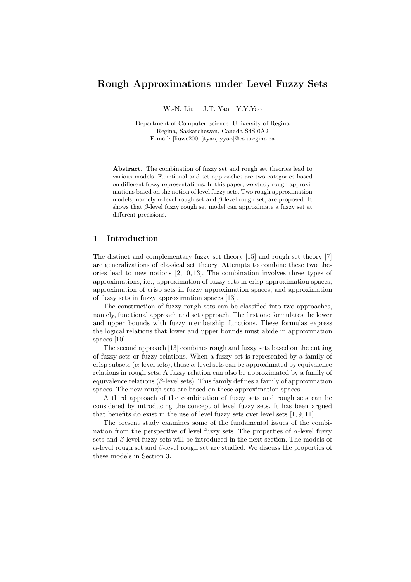# Rough Approximations under Level Fuzzy Sets

W.-N. Liu J.T. Yao Y.Y.Yao

Department of Computer Science, University of Regina Regina, Saskatchewan, Canada S4S 0A2 E-mail: [liuwe200, jtyao, yyao]@cs.uregina.ca

Abstract. The combination of fuzzy set and rough set theories lead to various models. Functional and set approaches are two categories based on different fuzzy representations. In this paper, we study rough approximations based on the notion of level fuzzy sets. Two rough approximation models, namely  $\alpha$ -level rough set and  $\beta$ -level rough set, are proposed. It shows that  $\beta$ -level fuzzy rough set model can approximate a fuzzy set at different precisions.

# 1 Introduction

The distinct and complementary fuzzy set theory [15] and rough set theory [7] are generalizations of classical set theory. Attempts to combine these two theories lead to new notions [2, 10, 13]. The combination involves three types of approximations, i.e., approximation of fuzzy sets in crisp approximation spaces, approximation of crisp sets in fuzzy approximation spaces, and approximation of fuzzy sets in fuzzy approximation spaces [13].

The construction of fuzzy rough sets can be classified into two approaches, namely, functional approach and set approach. The first one formulates the lower and upper bounds with fuzzy membership functions. These formulas express the logical relations that lower and upper bounds must abide in approximation spaces [10].

The second approach [13] combines rough and fuzzy sets based on the cutting of fuzzy sets or fuzzy relations. When a fuzzy set is represented by a family of crisp subsets ( $\alpha$ -level sets), these  $\alpha$ -level sets can be approximated by equivalence relations in rough sets. A fuzzy relation can also be approximated by a family of equivalence relations ( $\beta$ -level sets). This family defines a family of approximation spaces. The new rough sets are based on these approximation spaces.

A third approach of the combination of fuzzy sets and rough sets can be considered by introducing the concept of level fuzzy sets. It has been argued that benefits do exist in the use of level fuzzy sets over level sets [1, 9, 11].

The present study examines some of the fundamental issues of the combination from the perspective of level fuzzy sets. The properties of  $\alpha$ -level fuzzy sets and  $\beta$ -level fuzzy sets will be introduced in the next section. The models of  $\alpha$ -level rough set and  $\beta$ -level rough set are studied. We discuss the properties of these models in Section 3.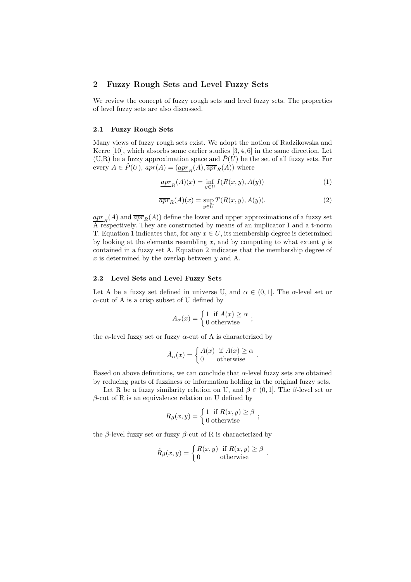### 2 Fuzzy Rough Sets and Level Fuzzy Sets

We review the concept of fuzzy rough sets and level fuzzy sets. The properties of level fuzzy sets are also discussed.

#### 2.1 Fuzzy Rough Sets

Many views of fuzzy rough sets exist. We adopt the notion of Radzikowska and Kerre  $[10]$ , which absorbs some earlier studies  $[3, 4, 6]$  in the same direction. Let  $(U, R)$  be a fuzzy approximation space and  $\tilde{P}(U)$  be the set of all fuzzy sets. For every  $A \in \tilde{P}(U)$ ,  $apr(A) = (\underline{apr_R}(A), \overline{apr_R}(A))$  where

$$
\underline{apr}_R(A)(x) = \inf_{y \in U} I(R(x, y), A(y)) \tag{1}
$$

$$
\overline{apr}_R(A)(x) = \sup_{y \in U} T(R(x, y), A(y)). \tag{2}
$$

 $\frac{apr}{R}(A)$  and  $\frac{apr}{apr}(A)$  define the lower and upper approximations of a fuzzy set  $\overline{A}$  respectively. They are constructed by means of an implicator I and a t-norm T. Equation 1 indicates that, for any  $x \in U$ , its membership degree is determined by looking at the elements resembling x, and by computing to what extent  $y$  is contained in a fuzzy set A. Equation 2 indicates that the membership degree of  $x$  is determined by the overlap between  $y$  and A.

#### 2.2 Level Sets and Level Fuzzy Sets

Let A be a fuzzy set defined in universe U, and  $\alpha \in (0,1]$ . The  $\alpha$ -level set or  $\alpha$ -cut of A is a crisp subset of U defined by

$$
A_{\alpha}(x) = \begin{cases} 1 & \text{if } A(x) \ge \alpha \\ 0 & \text{otherwise} \end{cases};
$$

the  $\alpha$ -level fuzzy set or fuzzy  $\alpha$ -cut of A is characterized by

$$
\tilde{A}_{\alpha}(x) = \begin{cases} A(x) & \text{if } A(x) \ge \alpha \\ 0 & \text{otherwise} \end{cases}.
$$

Based on above definitions, we can conclude that  $\alpha$ -level fuzzy sets are obtained by reducing parts of fuzziness or information holding in the original fuzzy sets.

Let R be a fuzzy similarity relation on U, and  $\beta \in (0,1]$ . The  $\beta$ -level set or  $\beta$ -cut of R is an equivalence relation on U defined by

$$
R_{\beta}(x, y) = \begin{cases} 1 & \text{if } R(x, y) \geq \beta \\ 0 & \text{otherwise} \end{cases};
$$

the β-level fuzzy set or fuzzy β-cut of R is characterized by

$$
\tilde{R}_{\beta}(x,y) = \begin{cases} R(x,y) & \text{if } R(x,y) \geq \beta \\ 0 & \text{otherwise} \end{cases}.
$$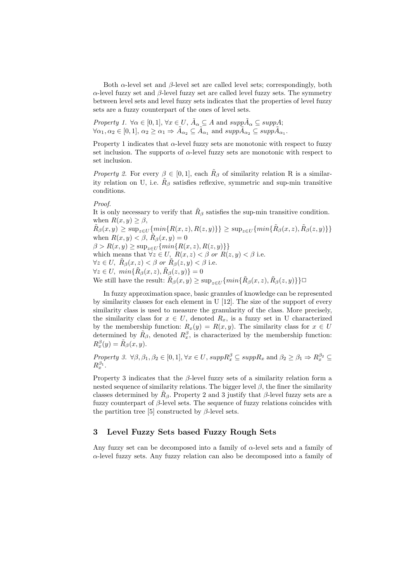Both  $\alpha$ -level set and  $\beta$ -level set are called level sets; correspondingly, both  $\alpha$ -level fuzzy set and  $\beta$ -level fuzzy set are called level fuzzy sets. The symmetry between level sets and level fuzzy sets indicates that the properties of level fuzzy sets are a fuzzy counterpart of the ones of level sets.

*Property 1.*  $\forall \alpha \in [0,1], \forall x \in U, \tilde{A}_{\alpha} \subseteq A$  and  $supp\tilde{A}_{\alpha} \subseteq supp A;$  $\forall \alpha_1, \alpha_2 \in [0,1], \alpha_2 \ge \alpha_1 \Rightarrow \tilde{A}_{\alpha_2} \subseteq \tilde{A}_{\alpha_1} \text{ and } supp \tilde{A}_{\alpha_2} \subseteq supp \tilde{A}_{\alpha_1}.$ 

Property 1 indicates that  $\alpha$ -level fuzzy sets are monotonic with respect to fuzzy set inclusion. The supports of  $\alpha$ -level fuzzy sets are monotonic with respect to set inclusion.

Property 2. For every  $\beta \in [0,1]$ , each  $\tilde{R}_{\beta}$  of similarity relation R is a similarity relation on U, i.e.  $\tilde{R}_{\beta}$  satisfies reflexive, symmetric and sup-min transitive conditions.

#### Proof.

It is only necessary to verify that  $R_\beta$  satisfies the sup-min transitive condition. when  $R(x, y) \geq \beta$ ,  $\tilde{R}_{\beta}(x, y) \ge \sup_{z \in U} \{ min\{R(x, z), R(z, y)\}\} \ge \sup_{z \in U} \{ min\{\tilde{R}_{\beta}(x, z), \tilde{R}_{\beta}(z, y)\}\}$ when  $R(x, y) < \beta$ ,  $\tilde{R}_{\beta}(x, y) = 0$  $\beta > R(x, y) \ge \sup_{z \in U} \{ min\{ R(x, z), R(z, y) \} \}$ which means that  $\forall z \in U$ ,  $R(x, z) < \beta$  or  $R(z, y) < \beta$  i.e.  $\forall z \in U, \ \tilde{R}_{\beta}(x, z) < \beta \text{ or } \tilde{R}_{\beta}(z, y) < \beta \text{ i.e.}$  $\forall z \in U, \ min\{\tilde{R}_{\beta}(x,z),\tilde{R}_{\beta}(z,y)\}=0$ We still have the result:  $\tilde{R}_{\beta}(x, y) \ge \sup_{z \in U} \{ \min \{ \tilde{R}_{\beta}(x, z), \tilde{R}_{\beta}(z, y) \} \} \square$ 

In fuzzy approximation space, basic granules of knowledge can be represented by similarity classes for each element in U [12]. The size of the support of every similarity class is used to measure the granularity of the class. More precisely, the similarity class for  $x \in U$ , denoted  $R_x$ , is a fuzzy set in U characterized by the membership function:  $R_x(y) = R(x, y)$ . The similarity class for  $x \in U$ determined by  $\tilde{R}_{\beta}$ , denoted  $R_x^{\beta}$ , is characterized by the membership function:  $R_x^{\beta}(y) = \tilde{R}_{\beta}(x, y).$ 

Property 3.  $\forall \beta, \beta_1, \beta_2 \in [0, 1], \forall x \in U$ ,  $supp R_x^{\beta} \subseteq supp R_x$  and  $\beta_2 \ge \beta_1 \Rightarrow R_x^{\beta_2} \subseteq$  $R^{\beta_1}_x.$ 

Property 3 indicates that the  $\beta$ -level fuzzy sets of a similarity relation form a nested sequence of similarity relations. The bigger level  $\beta$ , the finer the similarity classes determined by  $\tilde{R}_{\beta}$ . Property 2 and 3 justify that  $\beta$ -level fuzzy sets are a fuzzy counterpart of  $\beta$ -level sets. The sequence of fuzzy relations coincides with the partition tree [5] constructed by  $\beta$ -level sets.

# 3 Level Fuzzy Sets based Fuzzy Rough Sets

Any fuzzy set can be decomposed into a family of  $\alpha$ -level sets and a family of  $\alpha$ -level fuzzy sets. Any fuzzy relation can also be decomposed into a family of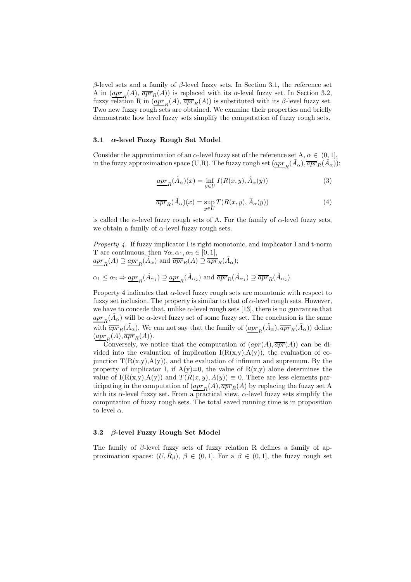β-level sets and a family of β-level fuzzy sets. In Section 3.1, the reference set A in  $\left(\frac{apr}{R}(A), \overline{apr}_{R}(A)\right)$  is replaced with its  $\alpha$ -level fuzzy set. In Section 3.2, fuzzy relation R in  $(\underbrace{apr}_R(A), \overline{apr}_R(A))$  is substituted with its β-level fuzzy set. Two new fuzzy rough sets are obtained. We examine their properties and briefly demonstrate how level fuzzy sets simplify the computation of fuzzy rough sets.

### 3.1  $\alpha$ -level Fuzzy Rough Set Model

Consider the approximation of an  $\alpha$ -level fuzzy set of the reference set A,  $\alpha \in (0, 1]$ , in the fuzzy approximation space (U,R). The fuzzy rough set  $(\underbrace{apr}_R(\tilde{A}_\alpha), \overline{apr}_R(\tilde{A}_\alpha))$ :

$$
\underline{apr}_R(\tilde{A}_\alpha)(x) = \inf_{y \in U} I(R(x, y), \tilde{A}_\alpha(y))
$$
\n(3)

$$
\overline{apr}_R(\tilde{A}_{\alpha})(x) = \sup_{y \in U} T(R(x, y), \tilde{A}_{\alpha}(y))
$$
\n(4)

is called the  $\alpha$ -level fuzzy rough sets of A. For the family of  $\alpha$ -level fuzzy sets, we obtain a family of  $\alpha$ -level fuzzy rough sets.

*Property 4.* If fuzzy implicator I is right monotonic, and implicator I and t-norm T are continuous, then  $\forall \alpha, \alpha_1, \alpha_2 \in [0, 1],$  $\frac{apr_R(A) \supseteq apr_R(\tilde{A}_{\alpha})$  and  $\overline{apr}_R(A) \supseteq \overline{apr}_R(\tilde{A}_{\alpha});$ 

$$
\alpha_1 \leq \alpha_2 \Rightarrow \underline{apr}_R(\tilde{A}_{\alpha_1}) \supseteq \underline{apr}_R(\tilde{A}_{\alpha_2}) \text{ and } \overline{apr}_R(\tilde{A}_{\alpha_1}) \supseteq \overline{apr}_R(\tilde{A}_{\alpha_2}).
$$

Property 4 indicates that  $\alpha$ -level fuzzy rough sets are monotonic with respect to fuzzy set inclusion. The property is similar to that of  $\alpha$ -level rough sets. However, we have to concede that, unlike  $\alpha$ -level rough sets [13], there is no guarantee that  $\frac{apr}{R}(\tilde{A}_{\alpha})$  will be  $\alpha$ -level fuzzy set of some fuzzy set. The conclusion is the same with  $\overline{apr}_R(\tilde{A}_{\alpha})$ . We can not say that the family of  $\overline{(apr}_R(\tilde{A}_{\alpha}), \overline{apr}_R(\tilde{A}_{\alpha}))$  define  $\left(\underline{apr}_R(A), \overline{apr}_R(A)\right).$ 

Conversely, we notice that the computation of  $(apr(A), \overline{apr}(A))$  can be divided into the evaluation of implication  $I(R(x,y),A(y))$ , the evaluation of cojunction  $T(R(x,y),A(y))$ , and the evaluation of infimum and supremum. By the property of implicator I, if  $A(y)=0$ , the value of  $R(x,y)$  alone determines the value of  $I(R(x,y),A(y))$  and  $T(R(x,y),A(y)) \equiv 0$ . There are less elements participating in the computation of  $(\underline{apr}_R(A), \overline{apr}_R(A)$  by replacing the fuzzy set A with its  $\alpha$ -level fuzzy set. From a practical view,  $\alpha$ -level fuzzy sets simplify the computation of fuzzy rough sets. The total saved running time is in proposition to level  $\alpha$ .

### 3.2 β-level Fuzzy Rough Set Model

The family of  $\beta$ -level fuzzy sets of fuzzy relation R defines a family of approximation spaces:  $(U, \tilde{R}_{\beta})$ ,  $\beta \in (0, 1]$ . For a  $\beta \in (0, 1]$ , the fuzzy rough set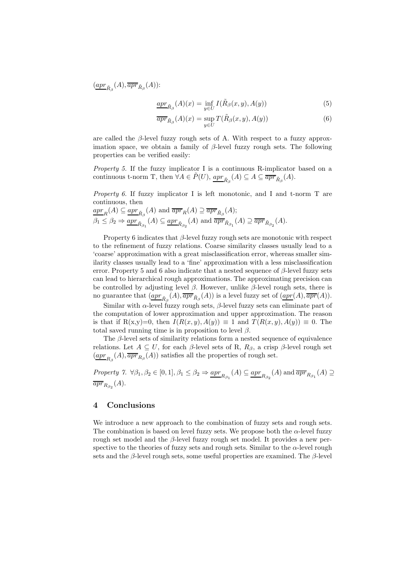$\left(\underline{apr}_{\tilde{R}_{\beta}}(A), \overline{apr}_{\tilde{R}_{\beta}}(A)\right)$ :

$$
\underline{apr}_{\tilde{R}_{\beta}}(A)(x) = \inf_{y \in U} I(\tilde{R}_{\beta}(x, y), A(y))
$$
\n(5)

$$
\overline{apr}_{\tilde{R}_{\beta}}(A)(x) = \sup_{y \in U} T(\tilde{R}_{\beta}(x, y), A(y))
$$
\n(6)

are called the  $\beta$ -level fuzzy rough sets of A. With respect to a fuzzy approximation space, we obtain a family of  $\beta$ -level fuzzy rough sets. The following properties can be verified easily:

Property 5. If the fuzzy implicator I is a continuous R-implicator based on a continuous t-norm T, then  $\forall A \in \tilde{P}(U)$ ,  $\underline{apr}_{\tilde{R}_{\beta}}(A) \subseteq A \subseteq \overline{apr}_{\tilde{R}_{\beta}}(A)$ .

*Property 6.* If fuzzy implicator I is left monotonic, and I and t-norm T are continuous, then

$$
\frac{apr_R(A) \subseteq apr_{\tilde{R}_{\beta}}(A) \text{ and } \overline{apr}_R(A) \supseteq \overline{apr}_{\tilde{R}_{\beta}}(A);}{\beta_1 \leq \beta_2 \Rightarrow \underline{apr}_{\tilde{R}_{\beta}}(A) \subseteq \underline{apr}_{\tilde{R}_{\beta_2}}(A) \text{ and } \overline{apr}_{\tilde{R}_{\beta_1}}(A) \supseteq \overline{apr}_{\tilde{R}_{\beta_2}}(A).
$$

Property 6 indicates that  $\beta$ -level fuzzy rough sets are monotonic with respect to the refinement of fuzzy relations. Coarse similarity classes usually lead to a 'coarse' approximation with a great misclassification error, whereas smaller similarity classes usually lead to a 'fine' approximation with a less misclassification error. Property 5 and 6 also indicate that a nested sequence of  $\beta$ -level fuzzy sets can lead to hierarchical rough approximations. The approximating precision can be controlled by adjusting level  $\beta$ . However, unlike  $\beta$ -level rough sets, there is no guarantee that  $(\underline{apr}_{\tilde R_\beta}(A), \overline{apr}_{\tilde R_\beta}(A))$  is a level fuzzy set of  $(\underline{apr}(A), \overline{apr}(A)).$ 

Similar with  $\alpha$ -level fuzzy rough sets,  $\beta$ -level fuzzy sets can eliminate part of the computation of lower approximation and upper approximation. The reason is that if R(x,y)=0, then  $I(R(x, y), A(y)) \equiv 1$  and  $T(R(x, y), A(y)) \equiv 0$ . The total saved running time is in proposition to level  $\beta$ .

The  $\beta$ -level sets of similarity relations form a nested sequence of equivalence relations. Let  $A \subseteq U$ , for each  $\beta$ -level sets of R,  $R_{\beta}$ , a crisp  $\beta$ -level rough set  $(\underbrace{apr}_{R_{\beta}}(A), \overline{apr}_{R_{\beta}}(A))$  satisfies all the properties of rough set.

Property 7.  $\forall \beta_1, \beta_2 \in [0, 1], \beta_1 \leq \beta_2 \Rightarrow \underline{apr}_{R_{\beta_1}}(A) \subseteq \underline{apr}_{R_{\beta_2}}(A)$  and  $\overline{apr}_{R_{\beta_1}}(A) \supseteq$  $\overline{apr}_{R_{\beta_2}}(A).$ 

# 4 Conclusions

We introduce a new approach to the combination of fuzzy sets and rough sets. The combination is based on level fuzzy sets. We propose both the  $\alpha$ -level fuzzy rough set model and the  $\beta$ -level fuzzy rough set model. It provides a new perspective to the theories of fuzzy sets and rough sets. Similar to the  $\alpha$ -level rough sets and the β-level rough sets, some useful properties are examined. The  $\beta$ -level